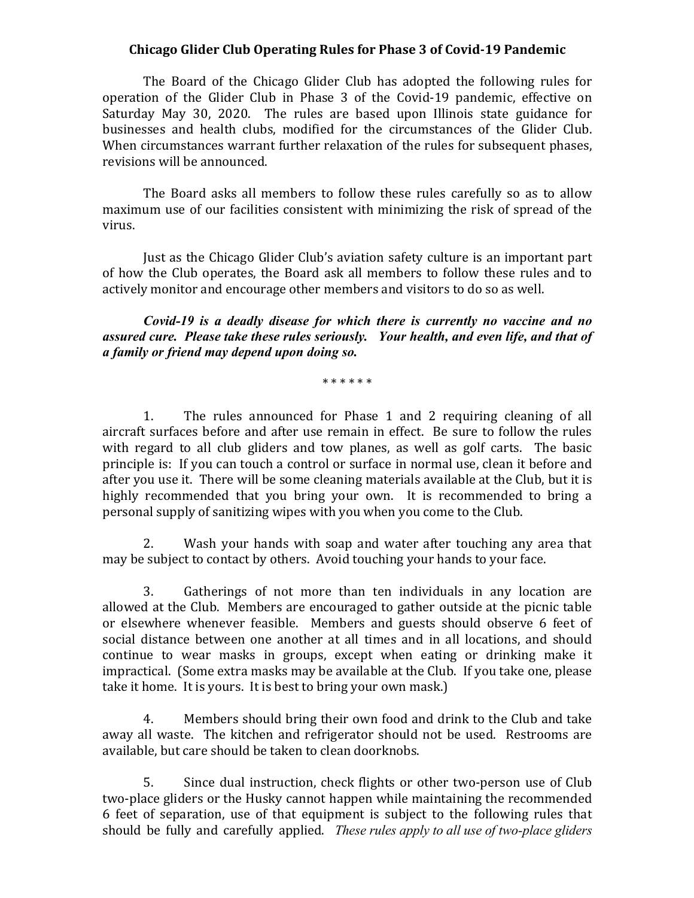## **Chicago Glider Club Operating Rules for Phase 3 of Covid-19 Pandemic**

The Board of the Chicago Glider Club has adopted the following rules for operation of the Glider Club in Phase 3 of the Covid-19 pandemic, effective on Saturday May 30, 2020. The rules are based upon Illinois state guidance for businesses and health clubs, modified for the circumstances of the Glider Club. When circumstances warrant further relaxation of the rules for subsequent phases, revisions will be announced.

The Board asks all members to follow these rules carefully so as to allow maximum use of our facilities consistent with minimizing the risk of spread of the virus. 

Just as the Chicago Glider Club's aviation safety culture is an important part of how the Club operates, the Board ask all members to follow these rules and to actively monitor and encourage other members and visitors to do so as well.

*Covid-19 is a deadly disease for which there is currently no vaccine and no assured cure. Please take these rules seriously. Your health, and even life, and that of a family or friend may depend upon doing so.*

\* \* \* \* \* \*

1. The rules announced for Phase 1 and 2 requiring cleaning of all aircraft surfaces before and after use remain in effect. Be sure to follow the rules with regard to all club gliders and tow planes, as well as golf carts. The basic principle is: If you can touch a control or surface in normal use, clean it before and after you use it. There will be some cleaning materials available at the Club, but it is highly recommended that you bring your own. It is recommended to bring a personal supply of sanitizing wipes with you when you come to the Club.

2. Wash your hands with soap and water after touching any area that may be subject to contact by others. Avoid touching your hands to your face.

3. Gatherings of not more than ten individuals in any location are allowed at the Club. Members are encouraged to gather outside at the picnic table or elsewhere whenever feasible. Members and guests should observe 6 feet of social distance between one another at all times and in all locations, and should continue to wear masks in groups, except when eating or drinking make it impractical. (Some extra masks may be available at the Club. If you take one, please take it home. It is yours. It is best to bring your own mask.)

4. Members should bring their own food and drink to the Club and take away all waste. The kitchen and refrigerator should not be used. Restrooms are available, but care should be taken to clean doorknobs.

5. Since dual instruction, check flights or other two-person use of Club two-place gliders or the Husky cannot happen while maintaining the recommended 6 feet of separation, use of that equipment is subject to the following rules that should be fully and carefully applied. *These rules apply to all use of two-place gliders*